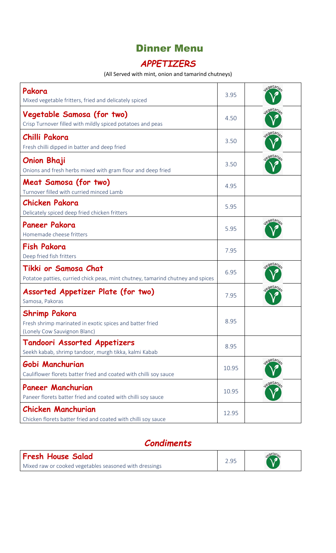# Dinner Menu

## *APPETIZERS*

#### (All Served with mint, onion and tamarind chutneys)

| Pakora<br>Mixed vegetable fritters, fried and delicately spiced                                                  | 3.95  | egetaria             |
|------------------------------------------------------------------------------------------------------------------|-------|----------------------|
| Vegetable Samosa (for two)<br>Crisp Turnover filled with mildly spiced potatoes and peas                         | 4.50  | Jegetaria            |
| Chilli Pakora<br>Fresh chilli dipped in batter and deep fried                                                    | 3.50  | egetaria             |
| <b>Onion Bhaji</b><br>Onions and fresh herbs mixed with gram flour and deep fried                                | 3.50  | legetaria            |
| Meat Samosa (for two)<br>Turnover filled with curried minced Lamb                                                | 4.95  |                      |
| <b>Chicken Pakora</b><br>Delicately spiced deep fried chicken fritters                                           | 5.95  |                      |
| <b>Paneer Pakora</b><br>Homemade cheese fritters                                                                 | 5.95  | egetaria             |
| <b>Fish Pakora</b><br>Deep fried fish fritters                                                                   | 7.95  |                      |
| Tikki or Samosa Chat<br>Potatoe patties, curried chick peas, mint chutney, tamarind chutney and spices           | 6.95  | <sub>o</sub> getari. |
| Assorted Appetizer Plate (for two)<br>Samosa, Pakoras                                                            | 7.95  | egetaria             |
| <b>Shrimp Pakora</b><br>Fresh shrimp marinated in exotic spices and batter fried<br>(Lonely Cow Sauvignon Blanc) | 8.95  |                      |
| Tandoori Assorted Appetizers<br>Seekh kabab, shrimp tandoor, murgh tikka, kalmi Kabab                            | 8.95  |                      |
| Gobi Manchurian<br>Cauliflower florets batter fried and coated with chilli soy sauce                             | 10.95 | egetaria             |
| <b>Paneer Manchurian</b><br>Paneer florets batter fried and coated with chilli soy sauce                         | 10.95 | legetaria            |
| <b>Chicken Manchurian</b><br>Chicken florets batter fried and coated with chilli soy sauce                       | 12.95 |                      |

# *Condiments*

| <b>Fresh House Salad</b>                               |  | $\lambda$ egetary |
|--------------------------------------------------------|--|-------------------|
| Mixed raw or cooked vegetables seasoned with dressings |  |                   |